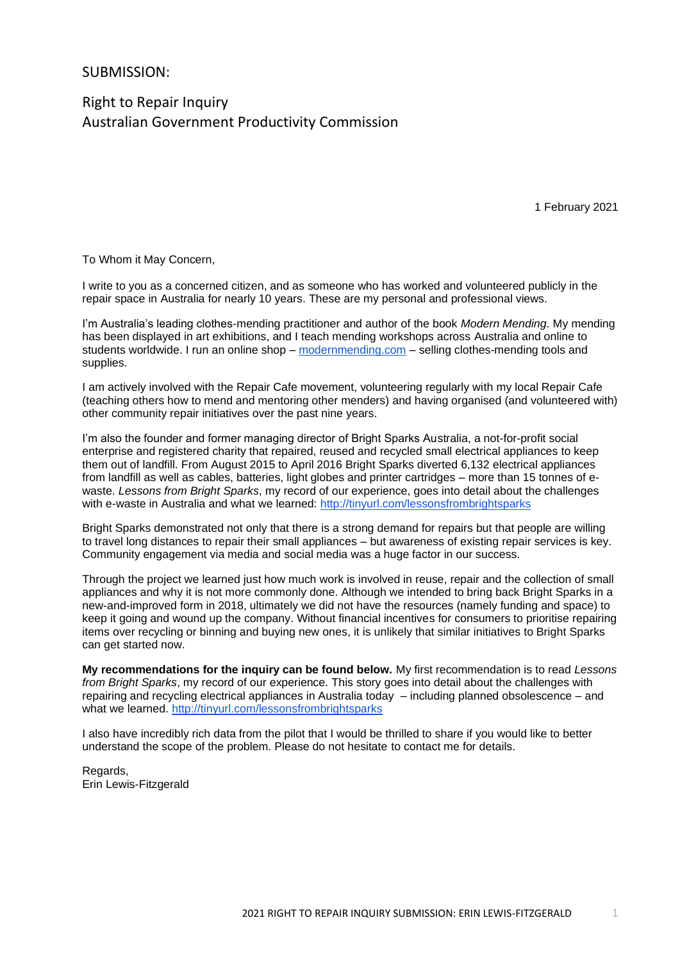## SUBMISSION:

Right to Repair Inquiry Australian Government Productivity Commission

1 February 2021

To Whom it May Concern,

I write to you as a concerned citizen, and as someone who has worked and volunteered publicly in the repair space in Australia for nearly 10 years. These are my personal and professional views.

I'm Australia's leading clothes-mending practitioner and author of the book *Modern Mending*. My mending has been displayed in art exhibitions, and I teach mending workshops across Australia and online to students worldwide. I run an online shop – [modernmending.com](https://modernmending.com/) – selling clothes-mending tools and supplies.

I am actively involved with the Repair Cafe movement, volunteering regularly with my local Repair Cafe (teaching others how to mend and mentoring other menders) and having organised (and volunteered with) other community repair initiatives over the past nine years.

I'm also the founder and former managing director of Bright Sparks Australia, a not-for-profit social enterprise and registered charity that repaired, reused and recycled small electrical appliances to keep them out of landfill. From August 2015 to April 2016 Bright Sparks diverted 6,132 electrical appliances from landfill as well as cables, batteries, light globes and printer cartridges – more than 15 tonnes of ewaste. *Lessons from Bright Sparks*, my record of our experience, goes into detail about the challenges with e-waste in Australia and what we learned:<http://tinyurl.com/lessonsfrombrightsparks>

Bright Sparks demonstrated not only that there is a strong demand for repairs but that people are willing to travel long distances to repair their small appliances – but awareness of existing repair services is key. Community engagement via media and social media was a huge factor in our success.

Through the project we learned just how much work is involved in reuse, repair and the collection of small appliances and why it is not more commonly done. Although we intended to bring back Bright Sparks in a new-and-improved form in 2018, ultimately we did not have the resources (namely funding and space) to keep it going and wound up the company. Without financial incentives for consumers to prioritise repairing items over recycling or binning and buying new ones, it is unlikely that similar initiatives to Bright Sparks can get started now.

**My recommendations for the inquiry can be found below.** My first recommendation is to read *Lessons from Bright Sparks*, my record of our experience. This story goes into detail about the challenges with repairing and recycling electrical appliances in Australia today – including planned obsolescence – and what we learned.<http://tinyurl.com/lessonsfrombrightsparks>

I also have incredibly rich data from the pilot that I would be thrilled to share if you would like to better understand the scope of the problem. Please do not hesitate to contact me for details.

Regards, Erin Lewis-Fitzgerald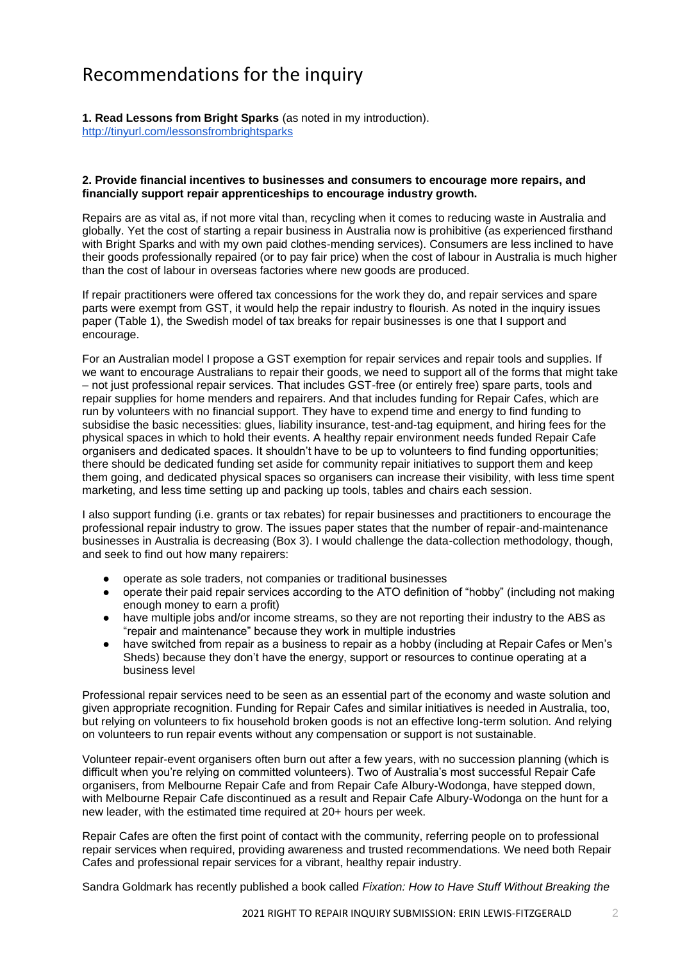# Recommendations for the inquiry

**1. Read Lessons from Bright Sparks** (as noted in my introduction). <http://tinyurl.com/lessonsfrombrightsparks>

## **2. Provide financial incentives to businesses and consumers to encourage more repairs, and financially support repair apprenticeships to encourage industry growth.**

Repairs are as vital as, if not more vital than, recycling when it comes to reducing waste in Australia and globally. Yet the cost of starting a repair business in Australia now is prohibitive (as experienced firsthand with Bright Sparks and with my own paid clothes-mending services). Consumers are less inclined to have their goods professionally repaired (or to pay fair price) when the cost of labour in Australia is much higher than the cost of labour in overseas factories where new goods are produced.

If repair practitioners were offered tax concessions for the work they do, and repair services and spare parts were exempt from GST, it would help the repair industry to flourish. As noted in the inquiry issues paper (Table 1), the Swedish model of tax breaks for repair businesses is one that I support and encourage.

For an Australian model I propose a GST exemption for repair services and repair tools and supplies. If we want to encourage Australians to repair their goods, we need to support all of the forms that might take – not just professional repair services. That includes GST-free (or entirely free) spare parts, tools and repair supplies for home menders and repairers. And that includes funding for Repair Cafes, which are run by volunteers with no financial support. They have to expend time and energy to find funding to subsidise the basic necessities: glues, liability insurance, test-and-tag equipment, and hiring fees for the physical spaces in which to hold their events. A healthy repair environment needs funded Repair Cafe organisers and dedicated spaces. It shouldn't have to be up to volunteers to find funding opportunities; there should be dedicated funding set aside for community repair initiatives to support them and keep them going, and dedicated physical spaces so organisers can increase their visibility, with less time spent marketing, and less time setting up and packing up tools, tables and chairs each session.

I also support funding (i.e. grants or tax rebates) for repair businesses and practitioners to encourage the professional repair industry to grow. The issues paper states that the number of repair-and-maintenance businesses in Australia is decreasing (Box 3). I would challenge the data-collection methodology, though, and seek to find out how many repairers:

- operate as sole traders, not companies or traditional businesses
- operate their paid repair services according to the ATO definition of "hobby" (including not making enough money to earn a profit)
- have multiple jobs and/or income streams, so they are not reporting their industry to the ABS as "repair and maintenance" because they work in multiple industries
- have switched from repair as a business to repair as a hobby (including at Repair Cafes or Men's Sheds) because they don't have the energy, support or resources to continue operating at a business level

Professional repair services need to be seen as an essential part of the economy and waste solution and given appropriate recognition. Funding for Repair Cafes and similar initiatives is needed in Australia, too, but relying on volunteers to fix household broken goods is not an effective long-term solution. And relying on volunteers to run repair events without any compensation or support is not sustainable.

Volunteer repair-event organisers often burn out after a few years, with no succession planning (which is difficult when you're relying on committed volunteers). Two of Australia's most successful Repair Cafe organisers, from Melbourne Repair Cafe and from Repair Cafe Albury-Wodonga, have stepped down, with Melbourne Repair Cafe discontinued as a result and Repair Cafe Albury-Wodonga on the hunt for a new leader, with the estimated time required at 20+ hours per week.

Repair Cafes are often the first point of contact with the community, referring people on to professional repair services when required, providing awareness and trusted recommendations. We need both Repair Cafes and professional repair services for a vibrant, healthy repair industry.

Sandra Goldmark has recently published a book called *Fixation: How to Have Stuff Without Breaking the*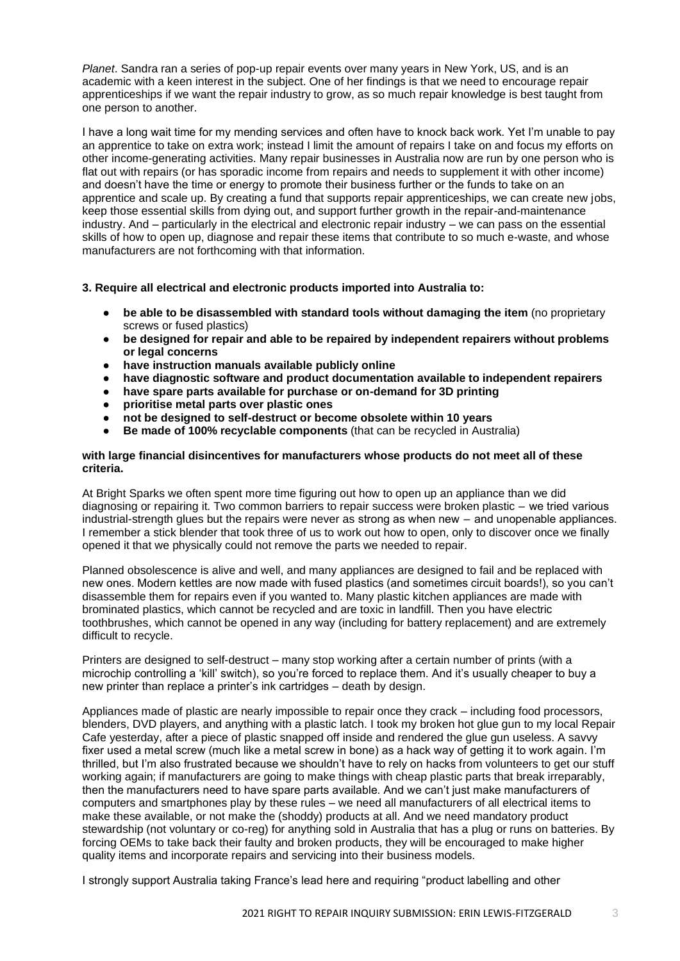*Planet*. Sandra ran a series of pop-up repair events over many years in New York, US, and is an academic with a keen interest in the subject. One of her findings is that we need to encourage repair apprenticeships if we want the repair industry to grow, as so much repair knowledge is best taught from one person to another.

I have a long wait time for my mending services and often have to knock back work. Yet I'm unable to pay an apprentice to take on extra work; instead I limit the amount of repairs I take on and focus my efforts on other income-generating activities. Many repair businesses in Australia now are run by one person who is flat out with repairs (or has sporadic income from repairs and needs to supplement it with other income) and doesn't have the time or energy to promote their business further or the funds to take on an apprentice and scale up. By creating a fund that supports repair apprenticeships, we can create new jobs, keep those essential skills from dying out, and support further growth in the repair-and-maintenance industry. And – particularly in the electrical and electronic repair industry – we can pass on the essential skills of how to open up, diagnose and repair these items that contribute to so much e-waste, and whose manufacturers are not forthcoming with that information.

## **3. Require all electrical and electronic products imported into Australia to:**

- **be able to be disassembled with standard tools without damaging the item** (no proprietary screws or fused plastics)
- **be designed for repair and able to be repaired by independent repairers without problems or legal concerns**
- **have instruction manuals available publicly online**
- **have diagnostic software and product documentation available to independent repairers**
- **have spare parts available for purchase or on-demand for 3D printing**
- **prioritise metal parts over plastic ones**
- **not be designed to self-destruct or become obsolete within 10 years**
- **Be made of 100% recyclable components** (that can be recycled in Australia)

#### **with large financial disincentives for manufacturers whose products do not meet all of these criteria.**

At Bright Sparks we often spent more time figuring out how to open up an appliance than we did diagnosing or repairing it. Two common barriers to repair success were broken plastic –  we tried various industrial-strength glues but the repairs were never as strong as when new  –  and unopenable appliances. I remember a stick blender that took three of us to work out how to open, only to discover once we finally opened it that we physically could not remove the parts we needed to repair.

Planned obsolescence is alive and well, and many appliances are designed to fail and be replaced with new ones. Modern kettles are now made with fused plastics (and sometimes circuit boards!), so you can't disassemble them for repairs even if you wanted to. Many plastic kitchen appliances are made with brominated plastics, which cannot be recycled and are toxic in landfill. Then you have electric toothbrushes, which cannot be opened in any way (including for battery replacement) and are extremely difficult to recycle.

Printers are designed to self-destruct – many stop working after a certain number of prints (with a microchip controlling a 'kill' switch), so you're forced to replace them. And it's usually cheaper to buy a new printer than replace a printer's ink cartridges – death by design.

Appliances made of plastic are nearly impossible to repair once they crack – including food processors, blenders, DVD players, and anything with a plastic latch. I took my broken hot glue gun to my local Repair Cafe yesterday, after a piece of plastic snapped off inside and rendered the glue gun useless. A savvy fixer used a metal screw (much like a metal screw in bone) as a hack way of getting it to work again. I'm thrilled, but I'm also frustrated because we shouldn't have to rely on hacks from volunteers to get our stuff working again; if manufacturers are going to make things with cheap plastic parts that break irreparably, then the manufacturers need to have spare parts available. And we can't just make manufacturers of computers and smartphones play by these rules – we need all manufacturers of all electrical items to make these available, or not make the (shoddy) products at all. And we need mandatory product stewardship (not voluntary or co-reg) for anything sold in Australia that has a plug or runs on batteries. By forcing OEMs to take back their faulty and broken products, they will be encouraged to make higher quality items and incorporate repairs and servicing into their business models.

I strongly support Australia taking France's lead here and requiring "product labelling and other